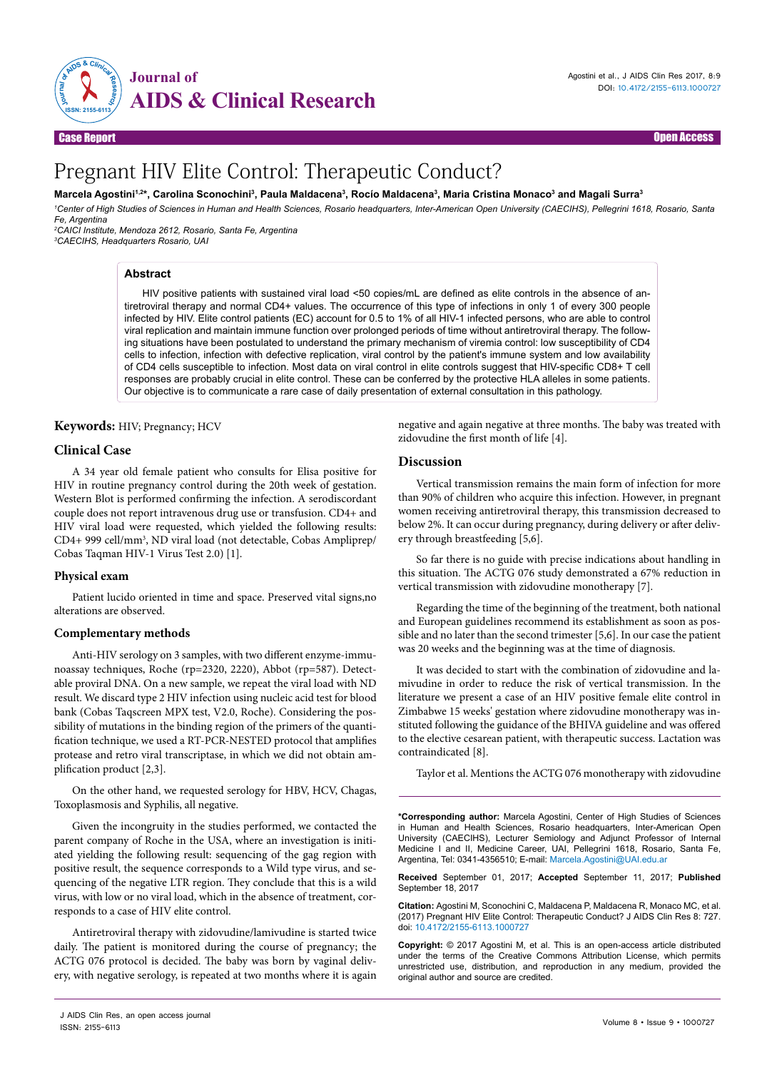

Case Report **Case Access and Case Access and Case Access** and Case Access and Case Access and Case Access and Ca

# Pregnant HIV Elite Control: Therapeutic Conduct?

# Marcela Agostini<sup>1,2</sup>\*, Carolina Sconochini<sup>3</sup>, Paula Maldacena<sup>3</sup>, Rocío Maldacena<sup>3</sup>, Maria Cristina Monaco<sup>3</sup> and Magali Surra<sup>3</sup>

*1 Center of High Studies of Sciences in Human and Health Sciences, Rosario headquarters, Inter-American Open University (CAECIHS), Pellegrini 1618, Rosario, Santa Fe, Argentina*

*2 CAICI Institute, Mendoza 2612, Rosario, Santa Fe, Argentina 3 CAECIHS, Headquarters Rosario, UAI*

### **Abstract**

HIV positive patients with sustained viral load <50 copies/mL are defined as elite controls in the absence of antiretroviral therapy and normal CD4+ values. The occurrence of this type of infections in only 1 of every 300 people infected by HIV. Elite control patients (EC) account for 0.5 to 1% of all HIV-1 infected persons, who are able to control viral replication and maintain immune function over prolonged periods of time without antiretroviral therapy. The following situations have been postulated to understand the primary mechanism of viremia control: low susceptibility of CD4 cells to infection, infection with defective replication, viral control by the patient's immune system and low availability of CD4 cells susceptible to infection. Most data on viral control in elite controls suggest that HIV-specific CD8+ T cell responses are probably crucial in elite control. These can be conferred by the protective HLA alleles in some patients. Our objective is to communicate a rare case of daily presentation of external consultation in this pathology.

## **Keywords:** HIV; Pregnancy; HCV

## **Clinical Case**

A 34 year old female patient who consults for Elisa positive for HIV in routine pregnancy control during the 20th week of gestation. Western Blot is performed confirming the infection. A serodiscordant couple does not report intravenous drug use or transfusion. CD4+ and HIV viral load were requested, which yielded the following results: CD4+ 999 cell/mm3 , ND viral load (not detectable, Cobas Ampliprep/ Cobas Taqman HIV-1 Virus Test 2.0) [1].

#### **Physical exam**

Patient lucido oriented in time and space. Preserved vital signs,no alterations are observed.

# **Complementary methods**

Anti-HIV serology on 3 samples, with two different enzyme-immunoassay techniques, Roche (rp=2320, 2220), Abbot (rp=587). Detectable proviral DNA. On a new sample, we repeat the viral load with ND result. We discard type 2 HIV infection using nucleic acid test for blood bank (Cobas Taqscreen MPX test, V2.0, Roche). Considering the possibility of mutations in the binding region of the primers of the quantification technique, we used a RT-PCR-NESTED protocol that amplifies protease and retro viral transcriptase, in which we did not obtain amplification product [2,3].

On the other hand, we requested serology for HBV, HCV, Chagas, Toxoplasmosis and Syphilis, all negative.

Given the incongruity in the studies performed, we contacted the parent company of Roche in the USA, where an investigation is initiated yielding the following result: sequencing of the gag region with positive result, the sequence corresponds to a Wild type virus, and sequencing of the negative LTR region. They conclude that this is a wild virus, with low or no viral load, which in the absence of treatment, corresponds to a case of HIV elite control.

Antiretroviral therapy with zidovudine/lamivudine is started twice daily. The patient is monitored during the course of pregnancy; the ACTG 076 protocol is decided. The baby was born by vaginal delivery, with negative serology, is repeated at two months where it is again negative and again negative at three months. The baby was treated with zidovudine the first month of life [4].

### **Discussion**

Vertical transmission remains the main form of infection for more than 90% of children who acquire this infection. However, in pregnant women receiving antiretroviral therapy, this transmission decreased to below 2%. It can occur during pregnancy, during delivery or after delivery through breastfeeding [5,6].

So far there is no guide with precise indications about handling in this situation. The ACTG 076 study demonstrated a 67% reduction in vertical transmission with zidovudine monotherapy [7].

Regarding the time of the beginning of the treatment, both national and European guidelines recommend its establishment as soon as possible and no later than the second trimester [5,6]. In our case the patient was 20 weeks and the beginning was at the time of diagnosis.

It was decided to start with the combination of zidovudine and lamivudine in order to reduce the risk of vertical transmission. In the literature we present a case of an HIV positive female elite control in Zimbabwe 15 weeks' gestation where zidovudine monotherapy was instituted following the guidance of the BHIVA guideline and was offered to the elective cesarean patient, with therapeutic success. Lactation was contraindicated [8].

Taylor et al. Mentions the ACTG 076 monotherapy with zidovudine

**\*Corresponding author:** Marcela Agostini, Center of High Studies of Sciences in Human and Health Sciences, Rosario headquarters, Inter-American Open University (CAECIHS), Lecturer Semiology and Adjunct Professor of Internal Medicine I and II, Medicine Career, UAI, Pellegrini 1618, Rosario, Santa Fe, Argentina, Tel: 0341-4356510; E-mail: Marcela.Agostini@UAI.edu.ar

**Received** September 01, 2017; **Accepted** September 11, 2017; **Published** September 18, 2017

**Citation:** Agostini M, Sconochini C, Maldacena P, Maldacena R, Monaco MC, et al. (2017) Pregnant HIV Elite Control: Therapeutic Conduct? J AIDS Clin Res 8: 727. doi: 10.4172/2155-6113.1000727

**Copyright:** © 2017 Agostini M, et al. This is an open-access article distributed under the terms of the Creative Commons Attribution License, which permits unrestricted use, distribution, and reproduction in any medium, provided the original author and source are credited.